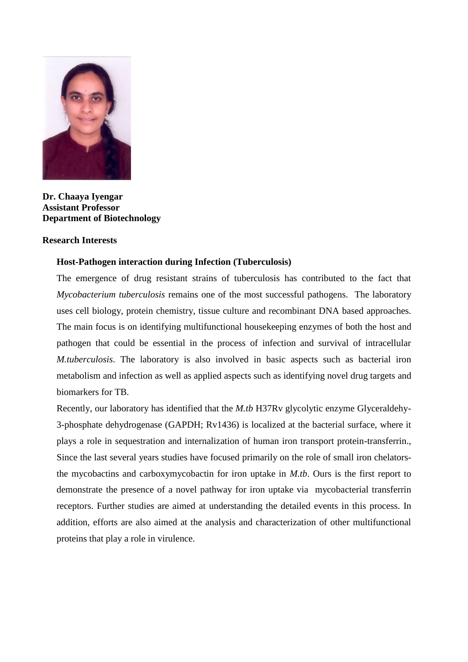

**Dr. Chaaya Iyengar Assistant Professor Department of Biotechnology**

# **Research Interests**

# **Host-Pathogen interaction during Infection (Tuberculosis)**

The emergence of drug resistant strains of tuberculosis has contributed to the fact that *Mycobacterium tuberculosis* remains one of the most successful pathogens. The laboratory uses cell biology, protein chemistry, tissue culture and recombinant DNA based approaches. The main focus is on identifying multifunctional housekeeping enzymes of both the host and pathogen that could be essential in the process of infection and survival of intracellular *M.tuberculosis*. The laboratory is also involved in basic aspects such as bacterial iron metabolism and infection as well as applied aspects such as identifying novel drug targets and biomarkers for TB.

Recently, our laboratory has identified that the *M.tb* H37Rv glycolytic enzyme Glyceraldehy-3-phosphate dehydrogenase (GAPDH; Rv1436) is localized at the bacterial surface, where it plays a role in sequestration and internalization of human iron transport protein-transferrin., Since the last several years studies have focused primarily on the role of small iron chelatorsthe mycobactins and carboxymycobactin for iron uptake in *M.tb*. Ours is the first report to demonstrate the presence of a novel pathway for iron uptake via mycobacterial transferrin receptors. Further studies are aimed at understanding the detailed events in this process. In addition, efforts are also aimed at the analysis and characterization of other multifunctional proteins that play a role in virulence.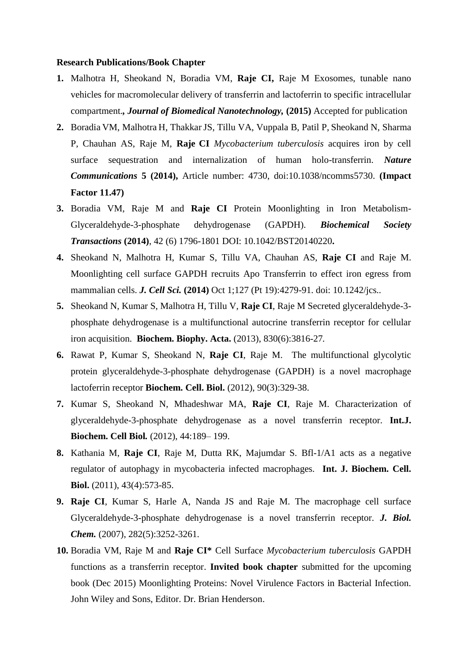#### **Research Publications/Book Chapter**

- **1.** Malhotra H, Sheokand N, Boradia VM, **Raje CI,** Raje M Exosomes, tunable nano vehicles for macromolecular delivery of transferrin and lactoferrin to specific intracellular compartment.*, Journal of Biomedical Nanotechnology,* **(2015)** Accepted for publication
- **2.** Boradia VM, Malhotra H, ThakkarJS, Tillu VA, Vuppala B, Patil P, Sheokand N, Sharma P, Chauhan AS, Raje M, **Raje CI** *Mycobacterium tuberculosis* acquires iron by cell surface sequestration and internalization of human holo-transferrin. *Nature Communications* **5 (2014),** Article number: 4730, doi:10.1038/ncomms5730. **(Impact Factor 11.47)**
- **3.** Boradia VM, Raje M and **Raje CI** Protein Moonlighting in Iron Metabolism-Glyceraldehyde-3-phosphate dehydrogenase (GAPDH). *Biochemical Society Transactions* **(2014)**, 42 (6) 1796-1801 DOI: 10.1042/BST20140220**.**
- **4.** Sheokand N, Malhotra H, Kumar S, Tillu VA, Chauhan AS, **Raje CI** and Raje M. Moonlighting cell surface GAPDH recruits Apo Transferrin to effect iron egress from mammalian cells. *J. Cell Sci.* **(2014)** Oct 1;127 (Pt 19):4279-91. doi: 10.1242/jcs*..*
- **5.** Sheokand N, Kumar S, Malhotra H, Tillu V, **Raje CI**, Raje M Secreted glyceraldehyde-3 phosphate dehydrogenase is a multifunctional autocrine transferrin receptor for cellular iron acquisition. **Biochem. Biophy. Acta.** (2013), 830(6):3816-27*.*
- **6.** Rawat P, Kumar S, Sheokand N, **Raje CI**, Raje M. The multifunctional glycolytic protein glyceraldehyde-3-phosphate dehydrogenase (GAPDH) is a novel macrophage lactoferrin receptor **Biochem. Cell. Biol.** (2012), 90(3):329-38.
- **7.** Kumar S, Sheokand N, Mhadeshwar MA, **Raje CI**, Raje M. Characterization of glyceraldehyde-3-phosphate dehydrogenase as a novel transferrin receptor. **Int.J. Biochem. Cell Biol***.* (2012), 44:189– 199.
- **8.** Kathania M, **Raje CI**, Raje M, Dutta RK, Majumdar S. Bfl-1/A1 acts as a negative regulator of autophagy in mycobacteria infected macrophages. **Int. J. Biochem. Cell. Biol.** (2011), 43(4):573-85.
- **9. Raje CI**, Kumar S, Harle A, Nanda JS and Raje M. The macrophage cell surface Glyceraldehyde-3-phosphate dehydrogenase is a novel transferrin receptor. *J. Biol. Chem.* (2007), 282(5):3252-3261.
- **10.** Boradia VM, Raje M and **Raje CI\*** Cell Surface *Mycobacterium tuberculosis* GAPDH functions as a transferrin receptor. **Invited book chapter** submitted for the upcoming book (Dec 2015) Moonlighting Proteins: Novel Virulence Factors in Bacterial Infection. John Wiley and Sons, Editor. Dr. Brian Henderson.